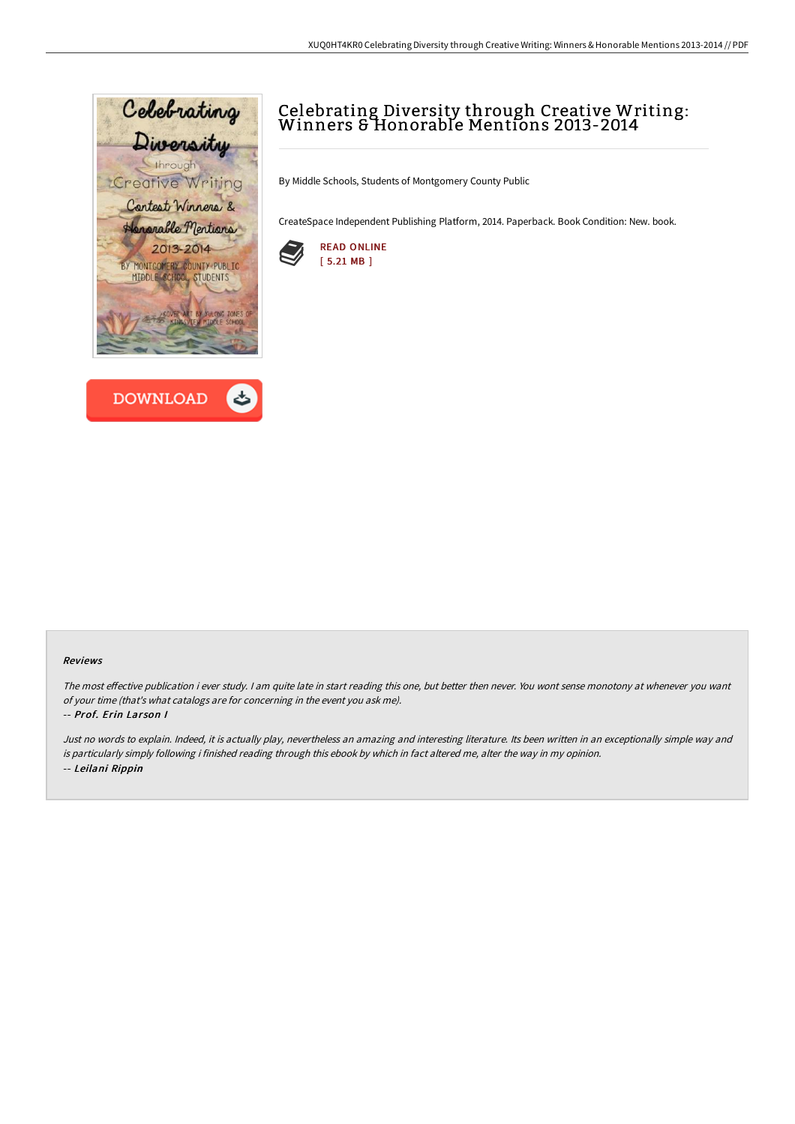



# Celebrating Diversity through Creative Writing: Winners & Honorable Mentions 2013-2014

By Middle Schools, Students of Montgomery County Public

CreateSpace Independent Publishing Platform, 2014. Paperback. Book Condition: New. book.



#### Reviews

The most effective publication i ever study. I am quite late in start reading this one, but better then never. You wont sense monotony at whenever you want of your time (that's what catalogs are for concerning in the event you ask me).

#### -- Prof. Erin Lar son I

Just no words to explain. Indeed, it is actually play, nevertheless an amazing and interesting literature. Its been written in an exceptionally simple way and is particularly simply following i finished reading through this ebook by which in fact altered me, alter the way in my opinion. -- Leilani Rippin